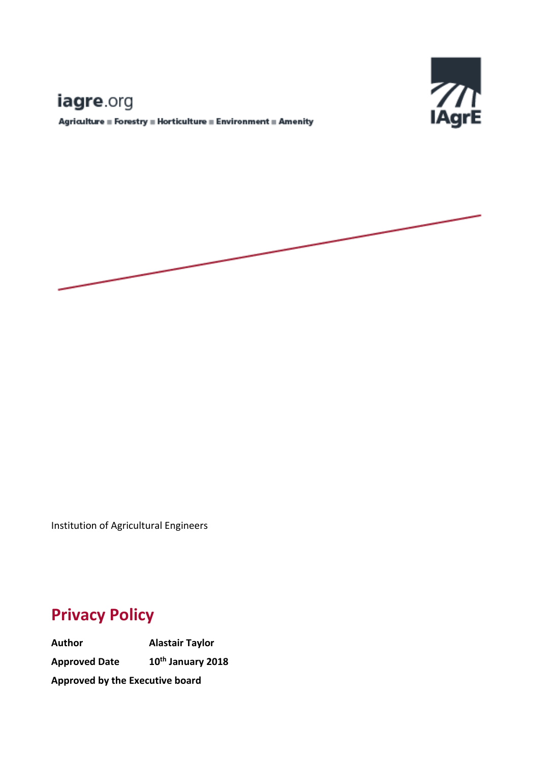# Е

# iagre.org

 ${\bf Agriulture\equiv Forestry\equiv Horticulture\equiv Environment\equiv Amerity}$ 



Institution of Agricultural Engineers

# **Privacy Policy**

**Author Alastair Taylor Approved Date 10th January 2018 Approved by the Executive board**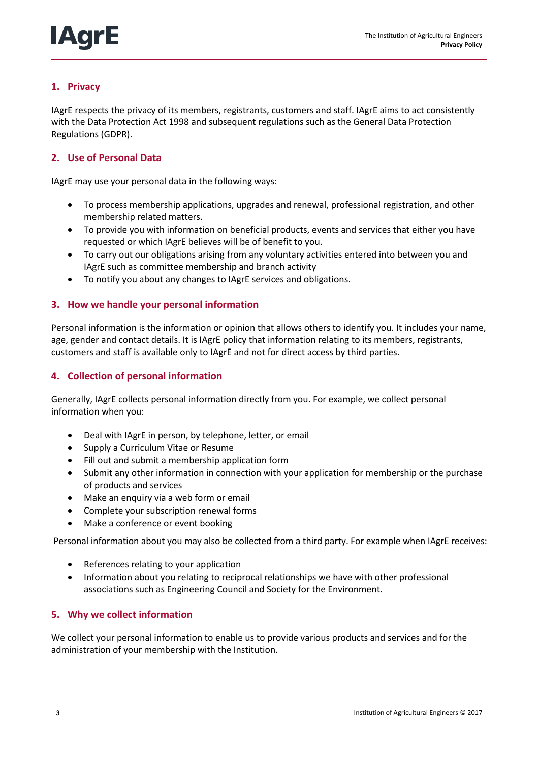# **1. Privacy**

IAgrE respects the privacy of its members, registrants, customers and staff. IAgrE aims to act consistently with the Data Protection Act 1998 and subsequent regulations such as the General Data Protection Regulations (GDPR).

# **2. Use of Personal Data**

IAgrE may use your personal data in the following ways:

- To process membership applications, upgrades and renewal, professional registration, and other membership related matters.
- To provide you with information on beneficial products, events and services that either you have requested or which IAgrE believes will be of benefit to you.
- To carry out our obligations arising from any voluntary activities entered into between you and IAgrE such as committee membership and branch activity
- To notify you about any changes to IAgrE services and obligations.

# **3. How we handle your personal information**

Personal information is the information or opinion that allows others to identify you. It includes your name, age, gender and contact details. It is IAgrE policy that information relating to its members, registrants, customers and staff is available only to IAgrE and not for direct access by third parties.

# **4. Collection of personal information**

Generally, IAgrE collects personal information directly from you. For example, we collect personal information when you:

- Deal with IAgrE in person, by telephone, letter, or email
- Supply a Curriculum Vitae or Resume
- Fill out and submit a membership application form
- Submit any other information in connection with your application for membership or the purchase of products and services
- Make an enquiry via a web form or email
- Complete your subscription renewal forms
- Make a conference or event booking

Personal information about you may also be collected from a third party. For example when IAgrE receives:

- References relating to your application
- Information about you relating to reciprocal relationships we have with other professional associations such as Engineering Council and Society for the Environment.

### **5. Why we collect information**

We collect your personal information to enable us to provide various products and services and for the administration of your membership with the Institution.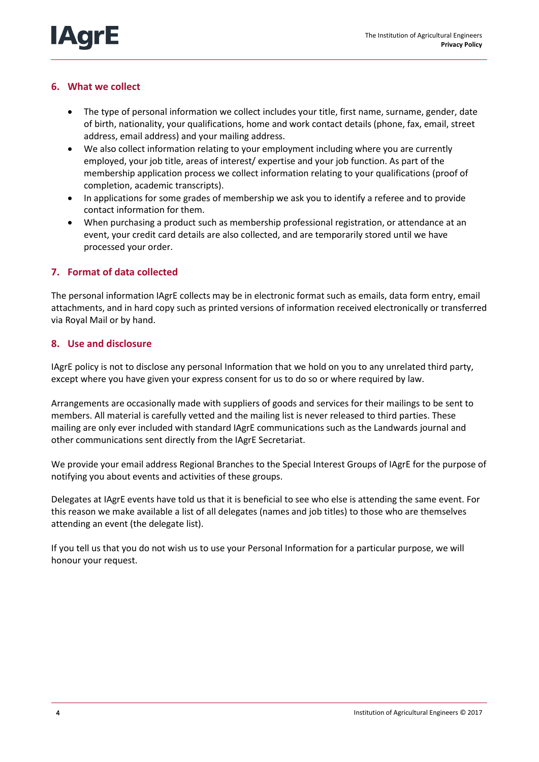# **6. What we collect**

**IAq** 

- The type of personal information we collect includes your title, first name, surname, gender, date of birth, nationality, your qualifications, home and work contact details (phone, fax, email, street address, email address) and your mailing address.
- We also collect information relating to your employment including where you are currently employed, your job title, areas of interest/ expertise and your job function. As part of the membership application process we collect information relating to your qualifications (proof of completion, academic transcripts).
- In applications for some grades of membership we ask you to identify a referee and to provide contact information for them.
- When purchasing a product such as membership professional registration, or attendance at an event, your credit card details are also collected, and are temporarily stored until we have processed your order.

### **7. Format of data collected**

The personal information IAgrE collects may be in electronic format such as emails, data form entry, email attachments, and in hard copy such as printed versions of information received electronically or transferred via Royal Mail or by hand.

#### **8. Use and disclosure**

IAgrE policy is not to disclose any personal Information that we hold on you to any unrelated third party, except where you have given your express consent for us to do so or where required by law.

Arrangements are occasionally made with suppliers of goods and services for their mailings to be sent to members. All material is carefully vetted and the mailing list is never released to third parties. These mailing are only ever included with standard IAgrE communications such as the Landwards journal and other communications sent directly from the IAgrE Secretariat.

We provide your email address Regional Branches to the Special Interest Groups of IAgrE for the purpose of notifying you about events and activities of these groups.

Delegates at IAgrE events have told us that it is beneficial to see who else is attending the same event. For this reason we make available a list of all delegates (names and job titles) to those who are themselves attending an event (the delegate list).

If you tell us that you do not wish us to use your Personal Information for a particular purpose, we will honour your request.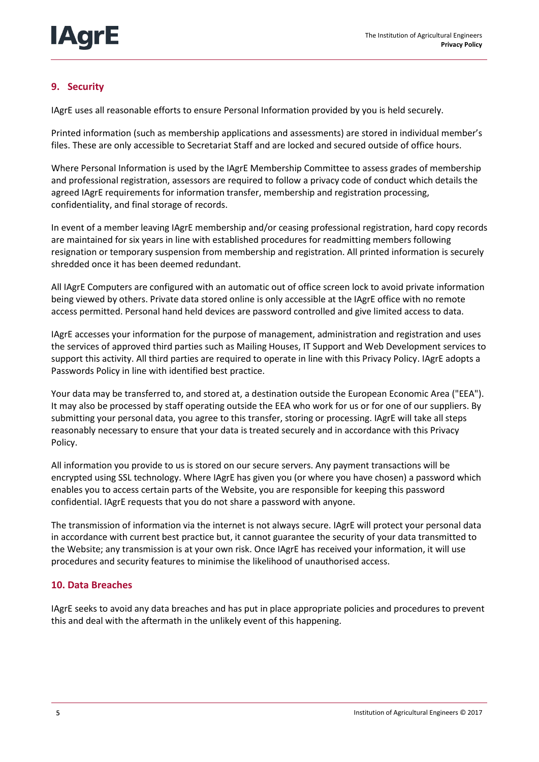# **9. Security**

IAgrE uses all reasonable efforts to ensure Personal Information provided by you is held securely.

Printed information (such as membership applications and assessments) are stored in individual member's files. These are only accessible to Secretariat Staff and are locked and secured outside of office hours.

Where Personal Information is used by the IAgrE Membership Committee to assess grades of membership and professional registration, assessors are required to follow a privacy code of conduct which details the agreed IAgrE requirements for information transfer, membership and registration processing, confidentiality, and final storage of records.

In event of a member leaving IAgrE membership and/or ceasing professional registration, hard copy records are maintained for six years in line with established procedures for readmitting members following resignation or temporary suspension from membership and registration. All printed information is securely shredded once it has been deemed redundant.

All IAgrE Computers are configured with an automatic out of office screen lock to avoid private information being viewed by others. Private data stored online is only accessible at the IAgrE office with no remote access permitted. Personal hand held devices are password controlled and give limited access to data.

IAgrE accesses your information for the purpose of management, administration and registration and uses the services of approved third parties such as Mailing Houses, IT Support and Web Development services to support this activity. All third parties are required to operate in line with this Privacy Policy. IAgrE adopts a Passwords Policy in line with identified best practice.

Your data may be transferred to, and stored at, a destination outside the European Economic Area ("EEA"). It may also be processed by staff operating outside the EEA who work for us or for one of our suppliers. By submitting your personal data, you agree to this transfer, storing or processing. IAgrE will take all steps reasonably necessary to ensure that your data is treated securely and in accordance with this Privacy Policy.

All information you provide to us is stored on our secure servers. Any payment transactions will be encrypted using SSL technology. Where IAgrE has given you (or where you have chosen) a password which enables you to access certain parts of the Website, you are responsible for keeping this password confidential. IAgrE requests that you do not share a password with anyone.

The transmission of information via the internet is not always secure. IAgrE will protect your personal data in accordance with current best practice but, it cannot guarantee the security of your data transmitted to the Website; any transmission is at your own risk. Once IAgrE has received your information, it will use procedures and security features to minimise the likelihood of unauthorised access.

# **10. Data Breaches**

IAgrE seeks to avoid any data breaches and has put in place appropriate policies and procedures to prevent this and deal with the aftermath in the unlikely event of this happening.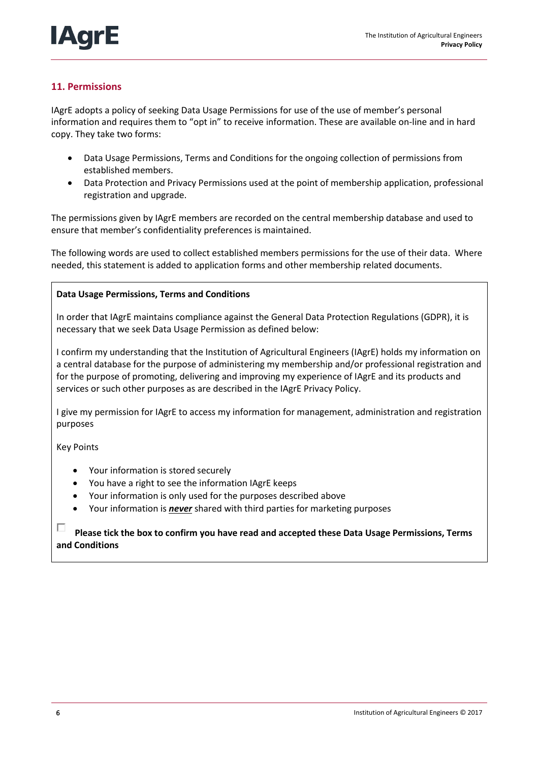# **11. Permissions**

IAgrE adopts a policy of seeking Data Usage Permissions for use of the use of member's personal information and requires them to "opt in" to receive information. These are available on-line and in hard copy. They take two forms:

- Data Usage Permissions, Terms and Conditions for the ongoing collection of permissions from established members.
- Data Protection and Privacy Permissions used at the point of membership application, professional registration and upgrade.

The permissions given by IAgrE members are recorded on the central membership database and used to ensure that member's confidentiality preferences is maintained.

The following words are used to collect established members permissions for the use of their data. Where needed, this statement is added to application forms and other membership related documents.

### **Data Usage Permissions, Terms and Conditions**

In order that IAgrE maintains compliance against the General Data Protection Regulations (GDPR), it is necessary that we seek Data Usage Permission as defined below:

I confirm my understanding that the Institution of Agricultural Engineers (IAgrE) holds my information on a central database for the purpose of administering my membership and/or professional registration and for the purpose of promoting, delivering and improving my experience of IAgrE and its products and services or such other purposes as are described in the IAgrE Privacy Policy.

I give my permission for IAgrE to access my information for management, administration and registration purposes

Key Points

- Your information is stored securely
- You have a right to see the information IAgrE keeps
- Your information is only used for the purposes described above
- Your information is *never* shared with third parties for marketing purposes

Е **Please tick the box to confirm you have read and accepted these Data Usage Permissions, Terms and Conditions**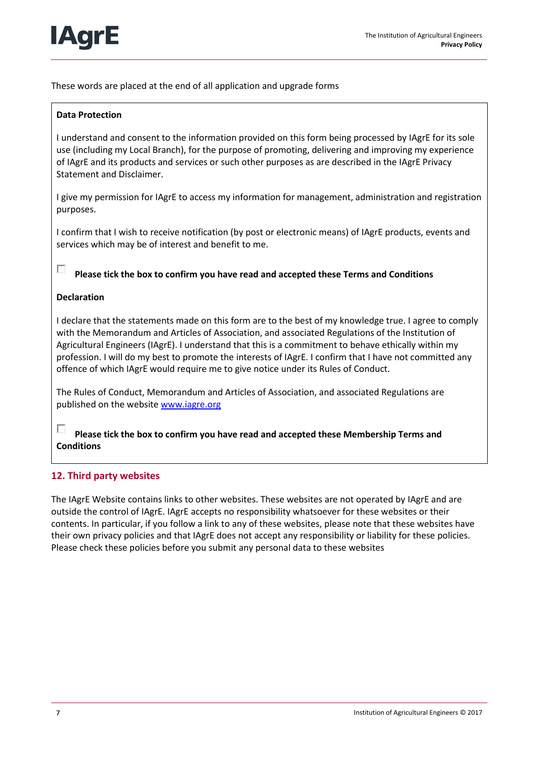

These words are placed at the end of all application and upgrade forms

# **Data Protection**

I understand and consent to the information provided on this form being processed by IAgrE for its sole use (including my Local Branch), for the purpose of promoting, delivering and improving my experience of IAgrE and its products and services or such other purposes as are described in the IAgrE Privacy Statement and Disclaimer.

I give my permission for IAgrE to access my information for management, administration and registration purposes.

I confirm that I wish to receive notification (by post or electronic means) of IAgrE products, events and services which may be of interest and benefit to me.

#### п **Please tick the box to confirm you have read and accepted these Terms and Conditions**

#### **Declaration**

I declare that the statements made on this form are to the best of my knowledge true. I agree to comply with the Memorandum and Articles of Association, and associated Regulations of the Institution of Agricultural Engineers (IAgrE). I understand that this is a commitment to behave ethically within my profession. I will do my best to promote the interests of IAgrE. I confirm that I have not committed any offence of which IAgrE would require me to give notice under its Rules of Conduct.

The Rules of Conduct, Memorandum and Articles of Association, and associated Regulations are published on the websit[e www.iagre.org](http://www.iagre.org/)

г **Please tick the box to confirm you have read and accepted these Membership Terms and Conditions** 

### **12. Third party websites**

The IAgrE Website contains links to other websites. These websites are not operated by IAgrE and are outside the control of IAgrE. IAgrE accepts no responsibility whatsoever for these websites or their contents. In particular, if you follow a link to any of these websites, please note that these websites have their own privacy policies and that IAgrE does not accept any responsibility or liability for these policies. Please check these policies before you submit any personal data to these websites